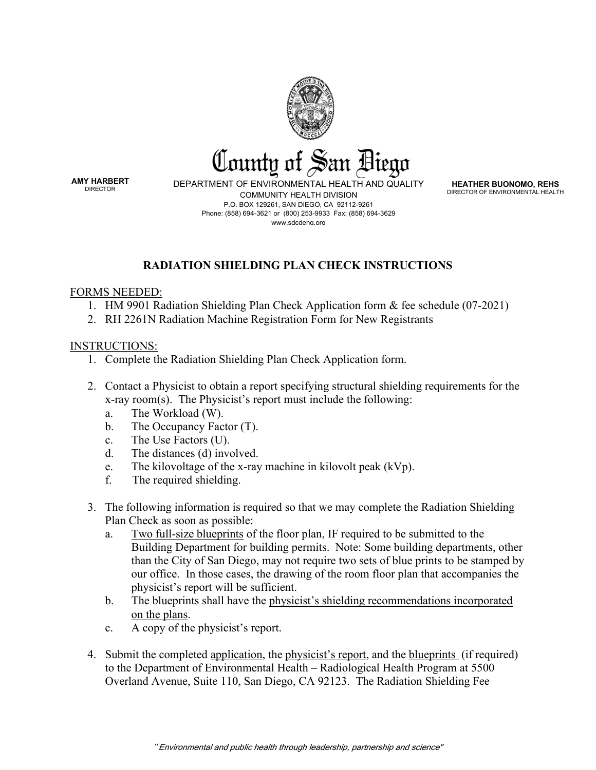

**AMY HARBERT** 

DEPARTMENT OF ENVIRONMENTAL HEALTH AND QUALITY COMMUNITY HEALTH DIVISION P.O. BOX 129261, SAN DIEGO, CA 92112-9261 Phone: (858) 694-3621 or (800) 253-9933 Fax: (858) 694-3629 www.sdcdehq.org

**HEATHER BUONOMO, REHS** DIRECTOR OF ENVIRONMENTAL HEALTH

## **RADIATION SHIELDING PLAN CHECK INSTRUCTIONS**

## FORMS NEEDED:

- 1. HM 9901 Radiation Shielding Plan Check Application form & fee schedule (07-2021)
- 2. RH 2261N Radiation Machine Registration Form for New Registrants

## INSTRUCTIONS:

- 1. Complete the Radiation Shielding Plan Check Application form.
- 2. Contact a Physicist to obtain a report specifying structural shielding requirements for the x-ray room(s). The Physicist's report must include the following:
	- a. The Workload (W).
	- b. The Occupancy Factor (T).
	- c. The Use Factors (U).
	- d. The distances (d) involved.
	- e. The kilovoltage of the x-ray machine in kilovolt peak  $(kVp)$ .
	- f. The required shielding.
- 3. The following information is required so that we may complete the Radiation Shielding Plan Check as soon as possible:
	- a. Two full-size blueprints of the floor plan, IF required to be submitted to the Building Department for building permits. Note: Some building departments, other than the City of San Diego, may not require two sets of blue prints to be stamped by our office. In those cases, the drawing of the room floor plan that accompanies the physicist's report will be sufficient.
	- b. The blueprints shall have the physicist's shielding recommendations incorporated on the plans.
	- c. A copy of the physicist's report.
- 4. Submit the completed application, the physicist's report, and the blueprints (if required) to the Department of Environmental Health – Radiological Health Program at 5500 Overland Avenue, Suite 110, San Diego, CA 92123. The Radiation Shielding Fee